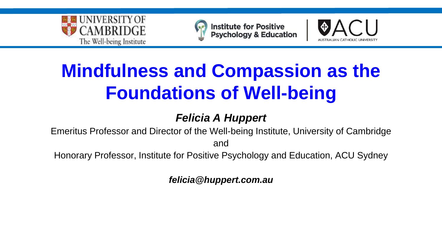



**Institute for Positive<br>Psychology & Education** 



## **Mindfulness and Compassion as the Foundations of Well-being**

#### **Felicia A Huppert**

Emeritus Professor and Director of the Well-being Institute, University of Cambridge and

Honorary Professor, Institute for Positive Psychology and Education, ACU Sydney

**felicia@huppert.com.au**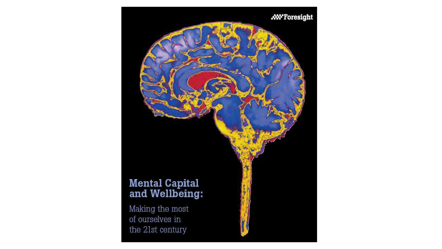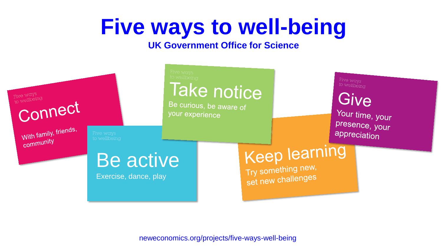# **Five ways to well-being**

#### **UK Government Office for Science**



neweconomics.org/projects/five-ways-well-being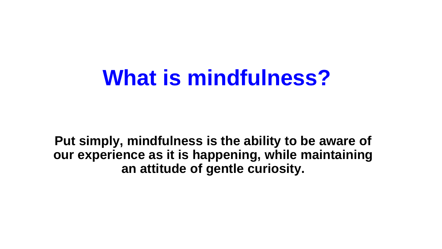## **What is mindfulness?**

**Put simply, mindfulness is the ability to be aware of our experience as it is happening, while maintaining an attitude of gentle curiosity.**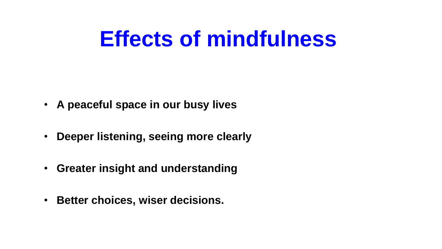# **Effects of mindfulness**

- **A peaceful space in our busy lives**
- **Deeper listening, seeing more clearly**
- **Greater insight and understanding**
- **Better choices, wiser decisions.**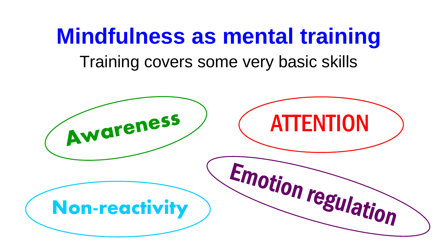## **Mindfulness as mental training** Training covers some very basic skills

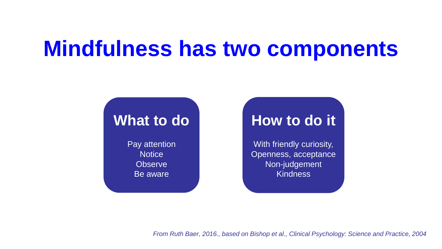## **Mindfulness has two components**

## **What to do**

Pay attention **Notice Observe** Be aware

## **How to do it**

With friendly curiosity, Openness, acceptance Non-judgement Kindness

From Ruth Baer, 2016., based on Bishop et al., Clinical Psychology: Science and Practice, 2004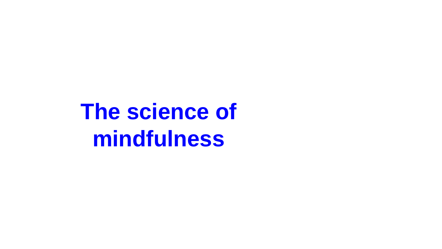**The science of mindfulness**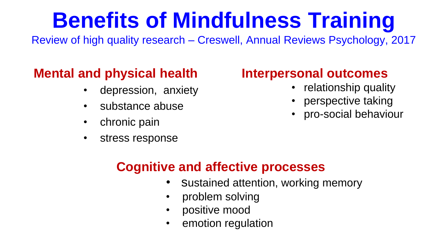# **Benefits of Mindfulness Training**

Review of high quality research – Creswell, Annual Reviews Psychology, 2017

## **Mental and physical health**

- depression, anxiety
- substance abuse
- chronic pain
- stress response

## **Interpersonal outcomes**

- relationship quality
- perspective taking
- pro-social behaviour

### **Cognitive and affective processes**

- sustained attention, working memory
- problem solving
- positive mood
- emotion regulation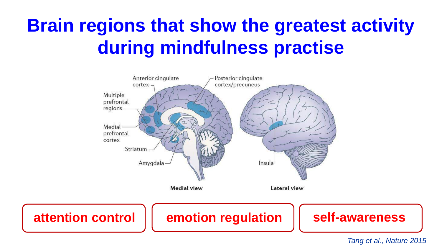## **Brain regions that show the greatest activity during mindfulness practise**



Tang et al., Nature 2015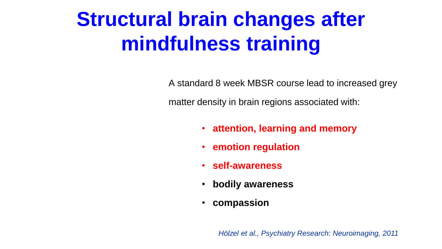# **Structural brain changes after mindfulness training**

A standard 8 week MBSR course lead to increased grey

matter density in brain regions associated with:

- **attention, learning and memory**
- **emotion regulation**
- **self-awareness**
- **bodily awareness**
- **compassion**

Hölzel et al., Psychiatry Research: Neuroimaging, 2011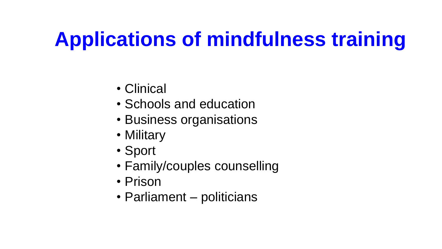# **Applications of mindfulness training**

- Clinical
- Schools and education
- Business organisations
- Military
- Sport
- Family/couples counselling
- Prison
- Parliament politicians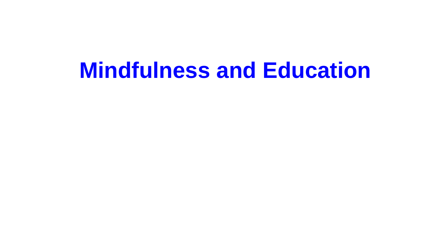## **Mindfulness and Education**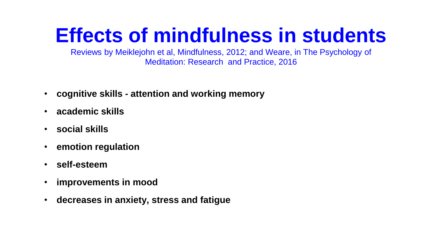## **Effects of mindfulness in students**

Reviews by Meiklejohn et al, Mindfulness, 2012; and Weare, in The Psychology of Meditation: Research and Practice, 2016

- **cognitive skills - attention and working memory**
- **academic skills**
- **social skills**
- **emotion regulation**
- **self-esteem**
- **improvements in mood**
- **decreases in anxiety, stress and fatigue**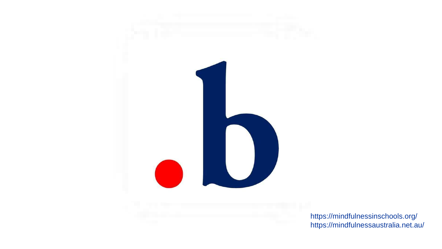

https://mindfulnessinschools.org/ https://mindfulnessaustralia.net.au/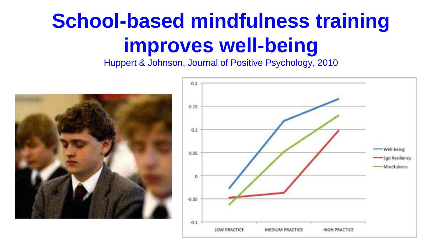# **School-based mindfulness training improves well-being**

Huppert & Johnson, Journal of Positive Psychology, 2010



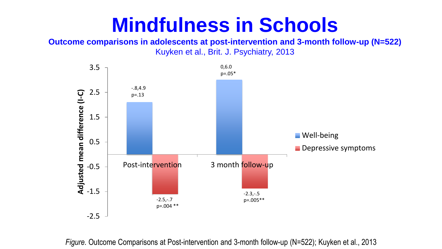#### **Mindfulness in Schools Mindfulness in Schools Outcome comparisons in adolescents at post-intervention and 3-month**

**Outcome comparisons in adolescents at post-intervention and 3-month follow-up (N=522) Kuyken et al., Brit. J. Psychiatry, 2013**  Kuyken et al., Brit. J. Psychiatry, 2013



*Figure*. Outcome Comparisons at Post-intervention and 3-month follow-up (N=522); Kuyken et al., 2013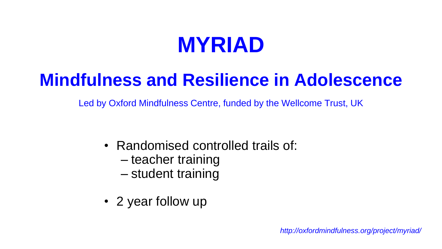## **MYRIAD**

## **Mindfulness and Resilience in Adolescence**

Led by Oxford Mindfulness Centre, funded by the Wellcome Trust, UK

- Randomised controlled trails of:
	- teacher training
	- student training
- 2 year follow up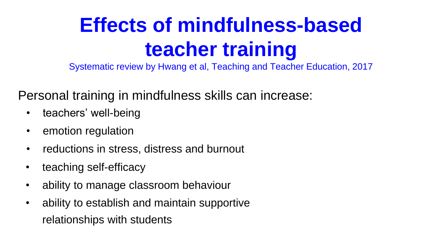# **Effects of mindfulness-based teacher training**

Systematic review by Hwang et al, Teaching and Teacher Education, 2017

Personal training in mindfulness skills can increase:

- teachers' well-being
- emotion regulation
- reductions in stress, distress and burnout
- teaching self-efficacy
- ability to manage classroom behaviour
- ability to establish and maintain supportive relationships with students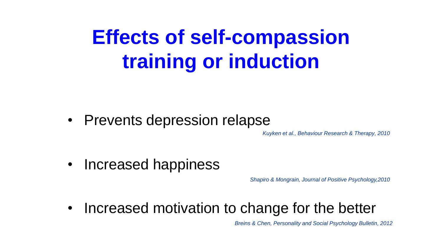## **Effects of self-compassion training or induction**

• Prevents depression relapse

Kuyken et al., Behaviour Research & Therapy, 2010

• Increased happiness

Shapiro & Mongrain, Journal of Positive Psychology,2010

• Increased motivation to change for the better

Breins & Chen, Personality and Social Psychology Bulletin, 2012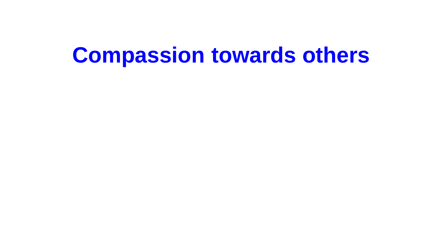## **Compassion towards others**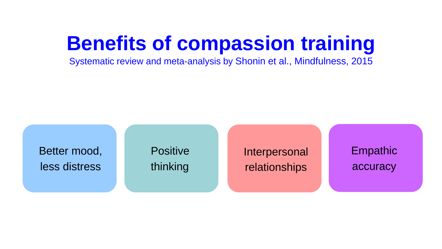## **Benefits of compassion training**

Systematic review and meta-analysis by Shonin et al., Mindfulness, 2015

Better mood, less distress

**Positive** thinking

Interpersonal relationships

Empathic accuracy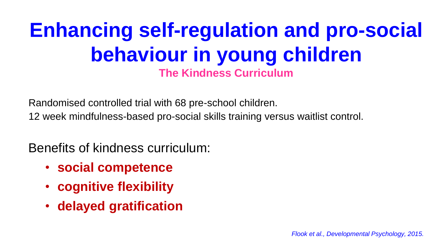## **Enhancing self-regulation and pro-social behaviour in young children The Kindness Curriculum**

Randomised controlled trial with 68 pre-school children.

12 week mindfulness-based pro-social skills training versus waitlist control.

Benefits of kindness curriculum:

- **social competence**
- **cognitive flexibility**
- **delayed gratification**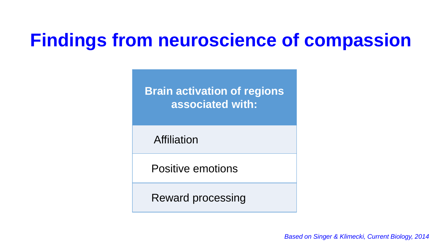## **Findings from neuroscience of compassion**

**Brain activation of regions associated with:**

**Affiliation** 

Positive emotions

Reward processing

Based on Singer & Klimecki, Current Biology, 2014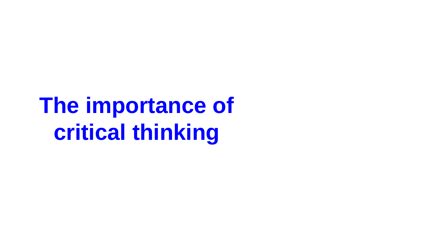**The importance of critical thinking**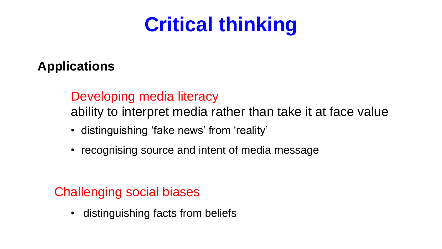## **Critical thinking**

### **Applications**

### Developing media literacy

ability to interpret media rather than take it at face value

- distinguishing 'fake news' from 'reality'
- recognising source and intent of media message

#### Challenging social biases

• distinguishing facts from beliefs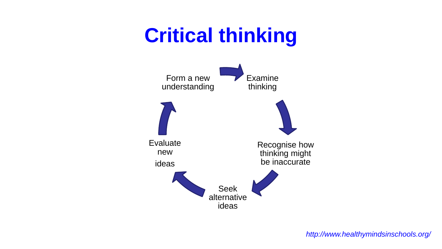## **Critical thinking**

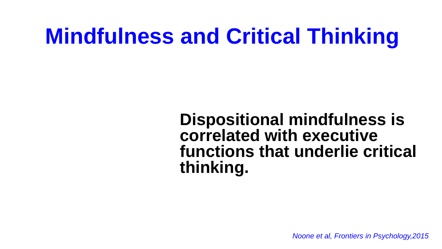# **Mindfulness and Critical Thinking**

## **Dispositional mindfulness is correlated with executive functions that underlie critical thinking.**

Noone et al, Frontiers in Psychology,2015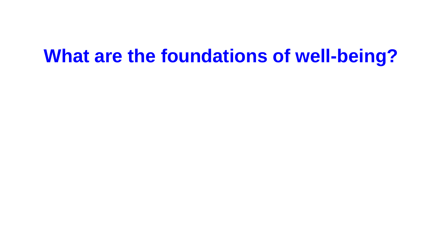## **What are the foundations of well-being?**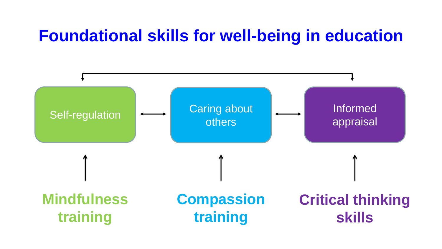## **Foundational skills for well-being in education**

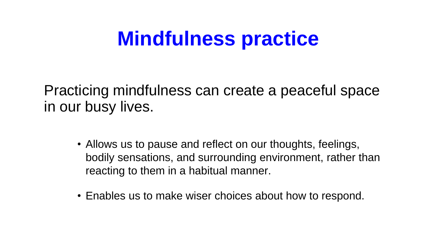## **Mindfulness practice**

Practicing mindfulness can create a peaceful space in our busy lives.

- Allows us to pause and reflect on our thoughts, feelings, bodily sensations, and surrounding environment, rather than reacting to them in a habitual manner.
- Enables us to make wiser choices about how to respond.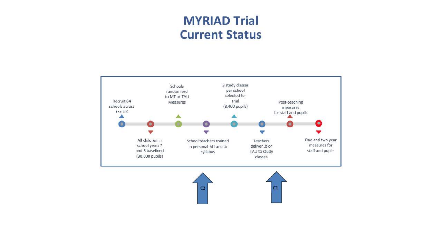#### **MYRIAD Trial Current Status**

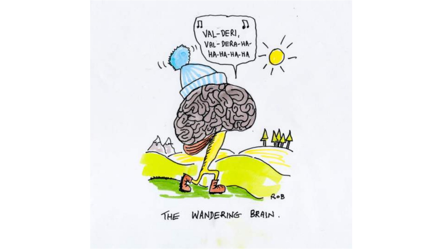